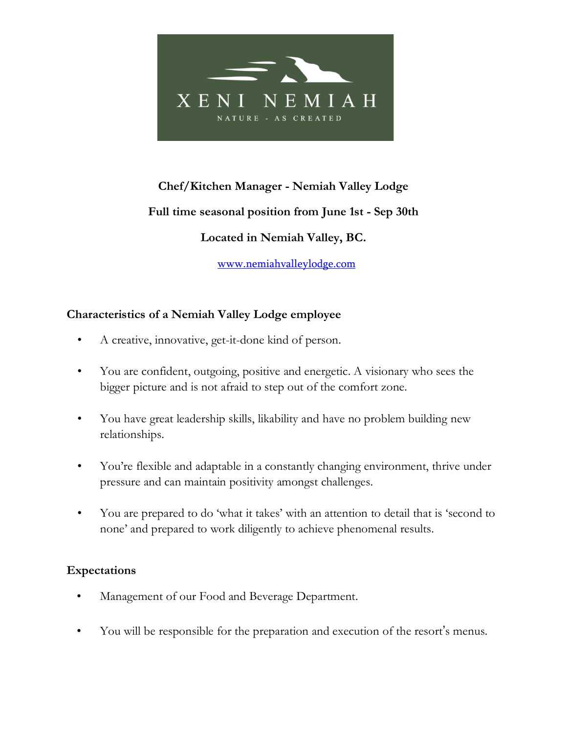

# **Chef/Kitchen Manager - Nemiah Valley Lodge Full time seasonal position from June 1st - Sep 30th Located in Nemiah Valley, BC.**

[www.nemiahvalleylodge.com](http://www.nemiahvalleylodge.com/)

### **Characteristics of a Nemiah Valley Lodge employee**

- *•* A creative, innovative, get-it-done kind of person.
- *•* You are confident, outgoing, positive and energetic. A visionary who sees the bigger picture and is not afraid to step out of the comfort zone.
- *•* You have great leadership skills, likability and have no problem building new relationships.
- *•* You're flexible and adaptable in a constantly changing environment, thrive under pressure and can maintain positivity amongst challenges.
- *•* You are prepared to do 'what it takes' with an attention to detail that is 'second to none' and prepared to work diligently to achieve phenomenal results.

### **Expectations**

- Management of our Food and Beverage Department.
- You will be responsible for the preparation and execution of the resort's menus.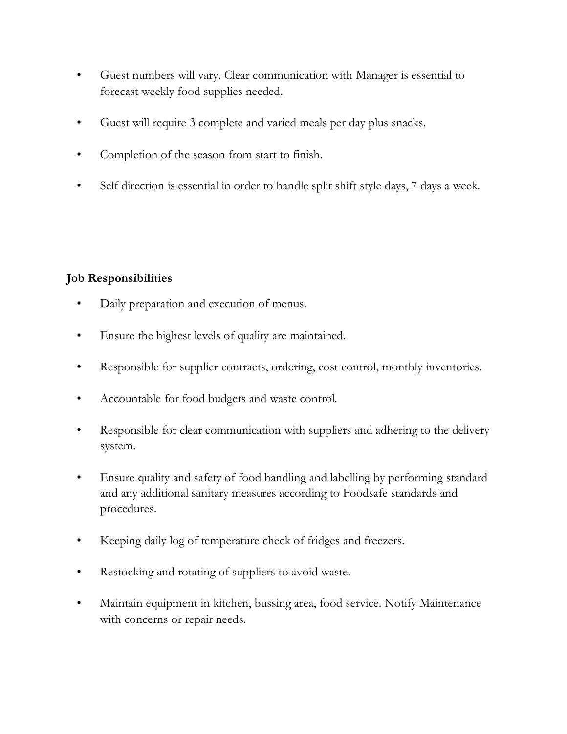- Guest numbers will vary. Clear communication with Manager is essential to forecast weekly food supplies needed.
- Guest will require 3 complete and varied meals per day plus snacks.
- Completion of the season from start to finish.
- Self direction is essential in order to handle split shift style days, 7 days a week.

## **Job Responsibilities**

- Daily preparation and execution of menus.
- Ensure the highest levels of quality are maintained.
- Responsible for supplier contracts, ordering, cost control, monthly inventories.
- Accountable for food budgets and waste control.
- Responsible for clear communication with suppliers and adhering to the delivery system.
- Ensure quality and safety of food handling and labelling by performing standard and any additional sanitary measures according to Foodsafe standards and procedures.
- Keeping daily log of temperature check of fridges and freezers.
- Restocking and rotating of suppliers to avoid waste.
- Maintain equipment in kitchen, bussing area, food service. Notify Maintenance with concerns or repair needs.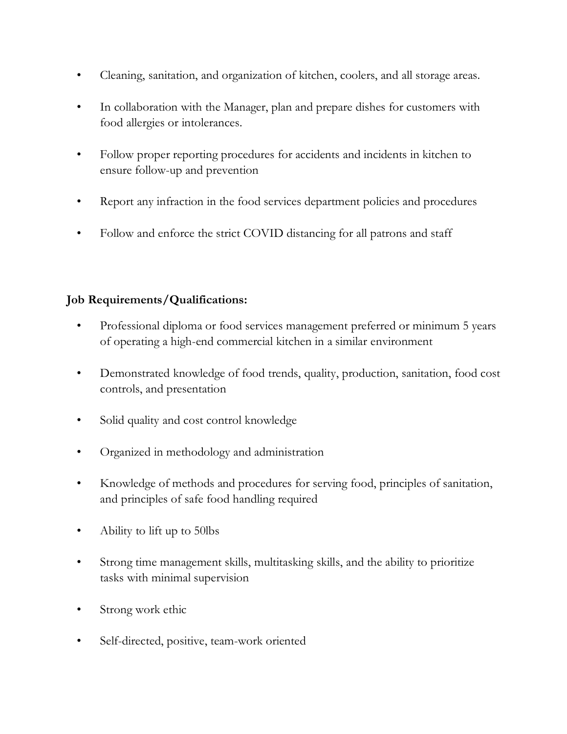- Cleaning, sanitation, and organization of kitchen, coolers, and all storage areas.
- In collaboration with the Manager, plan and prepare dishes for customers with food allergies or intolerances.
- Follow proper reporting procedures for accidents and incidents in kitchen to ensure follow-up and prevention
- Report any infraction in the food services department policies and procedures
- Follow and enforce the strict COVID distancing for all patrons and staff

## **Job Requirements/Qualifications:**

- Professional diploma or food services management preferred or minimum 5 years of operating a high-end commercial kitchen in a similar environment
- Demonstrated knowledge of food trends, quality, production, sanitation, food cost controls, and presentation
- Solid quality and cost control knowledge
- Organized in methodology and administration
- Knowledge of methods and procedures for serving food, principles of sanitation, and principles of safe food handling required
- Ability to lift up to 50lbs
- Strong time management skills, multitasking skills, and the ability to prioritize tasks with minimal supervision
- Strong work ethic
- Self-directed, positive, team-work oriented